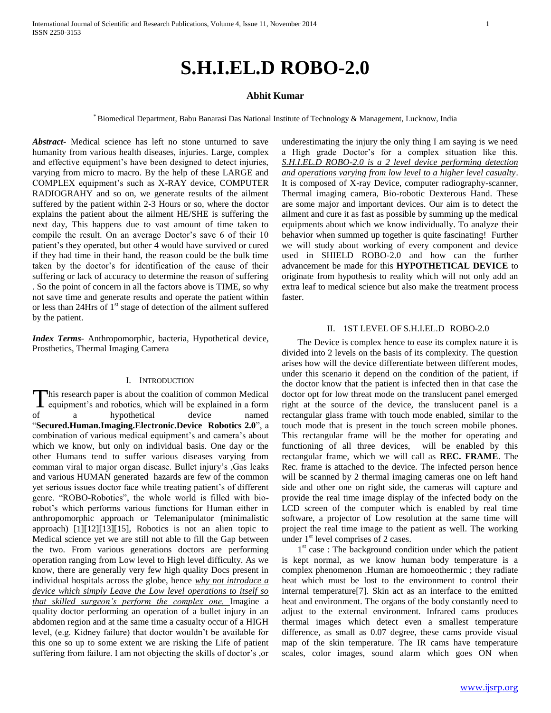## **Abhit Kumar**

\* Biomedical Department, Babu Banarasi Das National Institute of Technology & Management, Lucknow, India

*Abstract***-** Medical science has left no stone unturned to save humanity from various health diseases, injuries. Large, complex and effective equipment's have been designed to detect injuries, varying from micro to macro. By the help of these LARGE and COMPLEX equipment's such as X-RAY device, COMPUTER RADIOGRAHY and so on, we generate results of the ailment suffered by the patient within 2-3 Hours or so, where the doctor explains the patient about the ailment HE/SHE is suffering the next day, This happens due to vast amount of time taken to compile the result. On an average Doctor's save 6 of their 10 patient's they operated, but other 4 would have survived or cured if they had time in their hand, the reason could be the bulk time taken by the doctor's for identification of the cause of their suffering or lack of accuracy to determine the reason of suffering . So the point of concern in all the factors above is TIME, so why not save time and generate results and operate the patient within or less than 24Hrs of  $1<sup>st</sup>$  stage of detection of the ailment suffered by the patient.

*Index Terms*- Anthropomorphic, bacteria, Hypothetical device, Prosthetics, Thermal Imaging Camera

#### I. INTRODUCTION

his research paper is about the coalition of common Medical This research paper is about the coalition of common Medical equipment's and robotics, which will be explained in a form of a hypothetical device named "**Secured.Human.Imaging.Electronic.Device Robotics 2.0**", a combination of various medical equipment's and camera's about which we know, but only on individual basis. One day or the other Humans tend to suffer various diseases varying from comman viral to major organ disease. Bullet injury's ,Gas leaks and various HUMAN generated hazards are few of the common yet serious issues doctor face while treating patient's of different genre. "ROBO-Robotics", the whole world is filled with biorobot's which performs various functions for Human either in anthropomorphic approach or Telemanipulator (minimalistic approach) [1][12][13][15], Robotics is not an alien topic to Medical science yet we are still not able to fill the Gap between the two. From various generations doctors are performing operation ranging from Low level to High level difficulty. As we know, there are generally very few high quality Docs present in individual hospitals across the globe, hence *why not introduce a device which simply Leave the Low level operations to itself so that skilled surgeon's perform the complex one.* Imagine a quality doctor performing an operation of a bullet injury in an abdomen region and at the same time a casualty occur of a HIGH level, (e.g. Kidney failure) that doctor wouldn't be available for this one so up to some extent we are risking the Life of patient suffering from failure. I am not objecting the skills of doctor's ,or

underestimating the injury the only thing I am saying is we need a High grade Doctor's for a complex situation like this. *S.H.I.EL.D ROBO-2.0 is a 2 level device performing detection and operations varying from low level to a higher level casualty*. It is composed of X-ray Device, computer radiography-scanner, Thermal imaging camera, Bio-robotic Dexterous Hand. These are some major and important devices. Our aim is to detect the ailment and cure it as fast as possible by summing up the medical equipments about which we know individually. To analyze their behavior when summed up together is quite fascinating! Further we will study about working of every component and device used in SHIELD ROBO-2.0 and how can the further advancement be made for this **HYPOTHETICAL DEVICE** to originate from hypothesis to reality which will not only add an extra leaf to medical science but also make the treatment process faster.

#### II. 1ST LEVEL OF S.H.I.EL.D ROBO-2.0

 The Device is complex hence to ease its complex nature it is divided into 2 levels on the basis of its complexity. The question arises how will the device differentiate between different modes, under this scenario it depend on the condition of the patient, if the doctor know that the patient is infected then in that case the doctor opt for low threat mode on the translucent panel emerged right at the source of the device, the translucent panel is a rectangular glass frame with touch mode enabled, similar to the touch mode that is present in the touch screen mobile phones. This rectangular frame will be the mother for operating and functioning of all three devices, will be enabled by this rectangular frame, which we will call as **REC. FRAME**. The Rec. frame is attached to the device. The infected person hence will be scanned by 2 thermal imaging cameras one on left hand side and other one on right side, the cameras will capture and provide the real time image display of the infected body on the LCD screen of the computer which is enabled by real time software, a projector of Low resolution at the same time will project the real time image to the patient as well. The working under  $1<sup>st</sup>$  level comprises of 2 cases.

1<sup>st</sup> case : The background condition under which the patient is kept normal, as we know human body temperature is a complex phenomenon .Human are homoeothermic ; they radiate heat which must be lost to the environment to control their internal temperature[7]. Skin act as an interface to the emitted heat and environment. The organs of the body constantly need to adjust to the external environment. Infrared cams produces thermal images which detect even a smallest temperature difference, as small as 0.07 degree, these cams provide visual map of the skin temperature. The IR cams have temperature scales, color images, sound alarm which goes ON when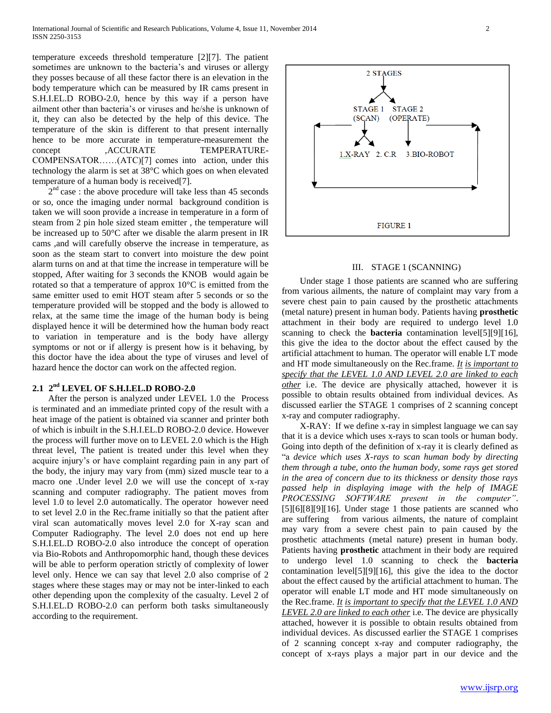temperature exceeds threshold temperature [2][7]. The patient sometimes are unknown to the bacteria's and viruses or allergy they posses because of all these factor there is an elevation in the body temperature which can be measured by IR cams present in S.H.I.EL.D ROBO-2.0, hence by this way if a person have ailment other than bacteria's or viruses and he/she is unknown of it, they can also be detected by the help of this device. The temperature of the skin is different to that present internally hence to be more accurate in temperature-measurement the concept ,ACCURATE TEMPERATURE-COMPENSATOR……(ATC)[7] comes into action, under this technology the alarm is set at 38°C which goes on when elevated temperature of a human body is received[7].

 $2<sup>nd</sup>$  case : the above procedure will take less than 45 seconds or so, once the imaging under normal background condition is taken we will soon provide a increase in temperature in a form of steam from 2 pin hole sized steam emitter , the temperature will be increased up to 50°C after we disable the alarm present in IR cams ,and will carefully observe the increase in temperature, as soon as the steam start to convert into moisture the dew point alarm turns on and at that time the increase in temperature will be stopped, After waiting for 3 seconds the KNOB would again be rotated so that a temperature of approx 10°C is emitted from the same emitter used to emit HOT steam after 5 seconds or so the temperature provided will be stopped and the body is allowed to relax, at the same time the image of the human body is being displayed hence it will be determined how the human body react to variation in temperature and is the body have allergy symptoms or not or if allergy is present how is it behaving, by this doctor have the idea about the type of viruses and level of hazard hence the doctor can work on the affected region.

# **2.1 2 nd LEVEL OF S.H.I.EL.D ROBO-2.0**

 After the person is analyzed under LEVEL 1.0 the Process is terminated and an immediate printed copy of the result with a heat image of the patient is obtained via scanner and printer both of which is inbuilt in the S.H.I.EL.D ROBO-2.0 device. However the process will further move on to LEVEL 2.0 which is the High threat level, The patient is treated under this level when they acquire injury's or have complaint regarding pain in any part of the body, the injury may vary from (mm) sized muscle tear to a macro one .Under level 2.0 we will use the concept of x-ray scanning and computer radiography. The patient moves from level 1.0 to level 2.0 automatically. The operator however need to set level 2.0 in the Rec.frame initially so that the patient after viral scan automatically moves level 2.0 for X-ray scan and Computer Radiography. The level 2.0 does not end up here S.H.I.EL.D ROBO-2.0 also introduce the concept of operation via Bio-Robots and Anthropomorphic hand, though these devices will be able to perform operation strictly of complexity of lower level only. Hence we can say that level 2.0 also comprise of 2 stages where these stages may or may not be inter-linked to each other depending upon the complexity of the casualty. Level 2 of S.H.I.EL.D ROBO-2.0 can perform both tasks simultaneously according to the requirement.



#### III. STAGE 1 (SCANNING)

 Under stage 1 those patients are scanned who are suffering from various ailments, the nature of complaint may vary from a severe chest pain to pain caused by the prosthetic attachments (metal nature) present in human body. Patients having **prosthetic**  attachment in their body are required to undergo level 1.0 scanning to check the **bacteria** contamination level[5][9][16], this give the idea to the doctor about the effect caused by the artificial attachment to human. The operator will enable LT mode and HT mode simultaneously on the Rec.frame. *It is important to specify that the LEVEL 1.0 AND LEVEL 2.0 are linked to each other* i.e. The device are physically attached, however it is possible to obtain results obtained from individual devices. As discussed earlier the STAGE 1 comprises of 2 scanning concept x-ray and computer radiography.

 X-RAY: If we define x-ray in simplest language we can say that it is a device which uses x-rays to scan tools or human body. Going into depth of the definition of x-ray it is clearly defined as "a *device which uses X-rays to scan human body by directing them through a tube, onto the human body, some rays get stored in the area of concern due to its thickness or density those rays passed help in displaying image with the help of IMAGE PROCESSING SOFTWARE present in the computer"*. [5][6][8][9][16]. Under stage 1 those patients are scanned who are suffering from various ailments, the nature of complaint may vary from a severe chest pain to pain caused by the prosthetic attachments (metal nature) present in human body. Patients having **prosthetic** attachment in their body are required to undergo level 1.0 scanning to check the **bacteria** contamination level[5][9][16], this give the idea to the doctor about the effect caused by the artificial attachment to human. The operator will enable LT mode and HT mode simultaneously on the Rec.frame. *It is important to specify that the LEVEL 1.0 AND LEVEL 2.0 are linked to each other* i.e. The device are physically attached, however it is possible to obtain results obtained from individual devices. As discussed earlier the STAGE 1 comprises of 2 scanning concept x-ray and computer radiography, the concept of x-rays plays a major part in our device and the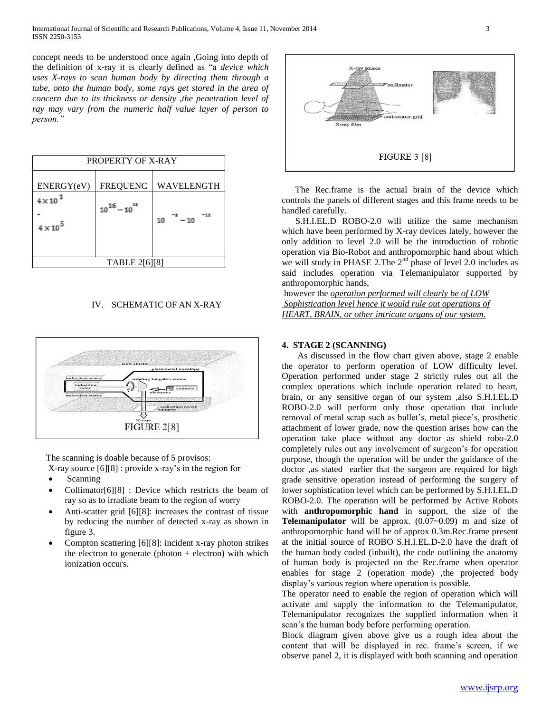concept needs to be understood once again ,Going into depth of the definition of x-ray it is clearly defined as "a *device which uses X-rays to scan human body by directing them through a tube, onto the human body, some rays get stored in the area of concern due to its thickness or density ,the penetration level of ray may vary from the numeric half value layer of person to person."*

| PROPERTY OF X-RAY                |                     |            |  |  |  |
|----------------------------------|---------------------|------------|--|--|--|
| ENERGY(eV)                       | <b>FREQUENC</b>     | WAVELENGTH |  |  |  |
| $4 \times 10$<br>$4 \times 10^5$ | $10^{16} - 10^{16}$ | 10<br>- 10 |  |  |  |
| TABLE 2[6][8]                    |                     |            |  |  |  |

## IV. SCHEMATIC OF AN X-RAY



The scanning is doable because of 5 provisos:

X-ray source [6][8] : provide x-ray's in the region for

- Scanning
- Collimator[6][8] : Device which restricts the beam of ray so as to irradiate beam to the region of worry
- Anti-scatter grid [6][8]: increases the contrast of tissue by reducing the number of detected x-ray as shown in figure 3.
- Compton scattering [6][8]: incident x-ray photon strikes the electron to generate (photon  $+$  electron) with which ionization occurs.



 The Rec.frame is the actual brain of the device which controls the panels of different stages and this frame needs to be handled carefully.

 S.H.I.EL.D ROBO-2.0 will utilize the same mechanism which have been performed by X-ray devices lately, however the only addition to level 2.0 will be the introduction of robotic operation via Bio-Robot and anthropomorphic hand about which we will study in PHASE 2. The  $2<sup>nd</sup>$  phase of level 2.0 includes as said includes operation via Telemanipulator supported by anthropomorphic hands,

however the *operation performed will clearly be of LOW Sophistication level hence it would rule out operations of HEART, BRAIN, or other intricate organs of our system.*

## **4. STAGE 2 (SCANNING)**

As discussed in the flow chart given above, stage 2 enable the operator to perform operation of LOW difficulty level. Operation performed under stage 2 strictly rules out all the complex operations which include operation related to heart, brain, or any sensitive organ of our system ,also S.H.I.EL.D ROBO-2.0 will perform only those operation that include removal of metal scrap such as bullet's, metal piece's, prosthetic attachment of lower grade, now the question arises how can the operation take place without any doctor as shield robo-2.0 completely rules out any involvement of surgeon's for operation purpose, though the operation will be under the guidance of the doctor ,as stated earlier that the surgeon are required for high grade sensitive operation instead of performing the surgery of lower sophistication level which can be performed by S.H.I.EL.D ROBO-2.0. The operation will be performed by Active Robots with **anthropomorphic hand** in support, the size of the **Telemanipulator** will be approx. (0.07~0.09) m and size of anthropomorphic hand will be of approx 0.3m.Rec.frame present at the initial source of ROBO S.H.I.EL.D-2.0 have the draft of the human body coded (inbuilt), the code outlining the anatomy of human body is projected on the Rec.frame when operator enables for stage 2 (operation mode) , the projected body display's various region where operation is possible.

The operator need to enable the region of operation which will activate and supply the information to the Telemanipulator, Telemanipulator recognizes the supplied information when it scan's the human body before performing operation.

Block diagram given above give us a rough idea about the content that will be displayed in rec. frame's screen, if we observe panel 2, it is displayed with both scanning and operation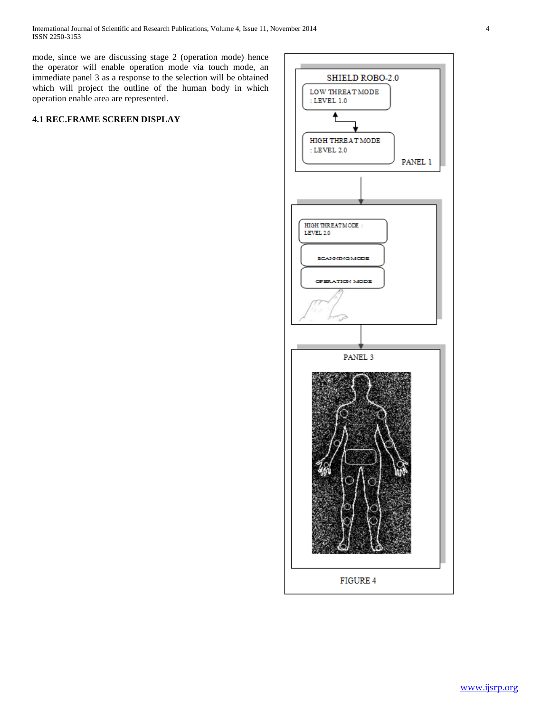mode, since we are discussing stage 2 (operation mode) hence the operator will enable operation mode via touch mode, an immediate panel 3 as a response to the selection will be obtained which will project the outline of the human body in which operation enable area are represented.

## **4.1 REC.FRAME SCREEN DISPLAY**

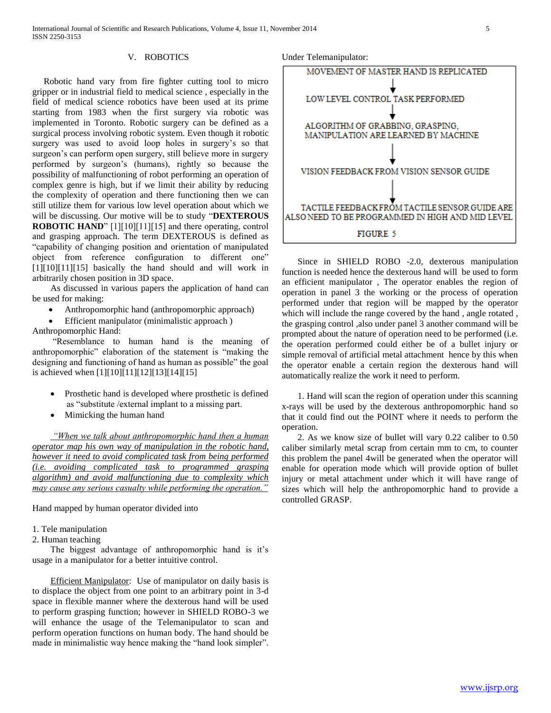#### V. ROBOTICS

 Robotic hand vary from fire fighter cutting tool to micro gripper or in industrial field to medical science , especially in the field of medical science robotics have been used at its prime starting from 1983 when the first surgery via robotic was implemented in Toronto. Robotic surgery can be defined as a surgical process involving robotic system. Even though it robotic surgery was used to avoid loop holes in surgery's so that surgeon's can perform open surgery, still believe more in surgery performed by surgeon's (humans), rightly so because the possibility of malfunctioning of robot performing an operation of complex genre is high, but if we limit their ability by reducing the complexity of operation and there functioning then we can still utilize them for various low level operation about which we will be discussing. Our motive will be to study "**DEXTEROUS ROBOTIC HAND**" [1][10][11][15] and there operating, control and grasping approach. The term DEXTEROUS is defined as "capability of changing position and orientation of manipulated object from reference configuration to different one" [1][10][11][15] basically the hand should and will work in arbitrarily chosen position in 3D space.

 As discussed in various papers the application of hand can be used for making:

- Anthropomorphic hand (anthropomorphic approach)
- Efficient manipulator (minimalistic approach )

Anthropomorphic Hand:

 "Resemblance to human hand is the meaning of anthropomorphic" elaboration of the statement is "making the designing and functioning of hand as human as possible" the goal is achieved when [1][10][11][12][13][14][15]

- Prosthetic hand is developed where prosthetic is defined as "substitute /external implant to a missing part.
- Mimicking the human hand

 *"When we talk about anthropomorphic hand then a human operator map his own way of manipulation in the robotic hand, however it need to avoid complicated task from being performed (i.e. avoiding complicated task to programmed grasping algorithm) and avoid malfunctioning due to complexity which may cause any serious casualty while performing the operation."*

Hand mapped by human operator divided into

#### 1. Tele manipulation

2. Human teaching

 The biggest advantage of anthropomorphic hand is it's usage in a manipulator for a better intuitive control.

 Efficient Manipulator: Use of manipulator on daily basis is to displace the object from one point to an arbitrary point in 3-d space in flexible manner where the dexterous hand will be used to perform grasping function; however in SHIELD ROBO-3 we will enhance the usage of the Telemanipulator to scan and perform operation functions on human body. The hand should be made in minimalistic way hence making the "hand look simpler".

Under Telemanipulator:



 Since in SHIELD ROBO -2.0, dexterous manipulation function is needed hence the dexterous hand will be used to form an efficient manipulator , The operator enables the region of operation in panel 3 the working or the process of operation performed under that region will be mapped by the operator which will include the range covered by the hand, angle rotated, the grasping control ,also under panel 3 another command will be prompted about the nature of operation need to be performed (i.e. the operation performed could either be of a bullet injury or simple removal of artificial metal attachment hence by this when the operator enable a certain region the dexterous hand will automatically realize the work it need to perform.

 1. Hand will scan the region of operation under this scanning x-rays will be used by the dexterous anthropomorphic hand so that it could find out the POINT where it needs to perform the operation.

 2. As we know size of bullet will vary 0.22 caliber to 0.50 caliber similarly metal scrap from certain mm to cm, to counter this problem the panel 4will be generated when the operator will enable for operation mode which will provide option of bullet injury or metal attachment under which it will have range of sizes which will help the anthropomorphic hand to provide a controlled GRASP.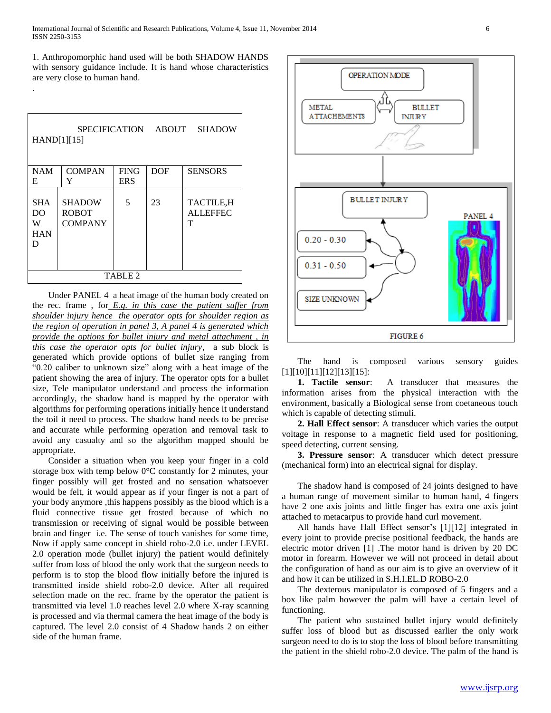1. Anthropomorphic hand used will be both SHADOW HANDS with sensory guidance include. It is hand whose characteristics are very close to human hand.

.

| <b>SHADOW</b><br><b>SPECIFICATION</b><br>ABOUT<br>HAND[1][15] |                                                 |             |            |                                    |  |
|---------------------------------------------------------------|-------------------------------------------------|-------------|------------|------------------------------------|--|
| <b>NAM</b>                                                    | <b>COMPAN</b>                                   | <b>FING</b> | <b>DOF</b> | <b>SENSORS</b>                     |  |
| E                                                             | Y                                               | <b>ERS</b>  |            |                                    |  |
| <b>SHA</b><br>D <sub>O</sub><br>W<br><b>HAN</b><br>D          | <b>SHADOW</b><br><b>ROBOT</b><br><b>COMPANY</b> | 5           | 23         | TACTILE, H<br><b>ALLEFFEC</b><br>т |  |
| TABLE <sub>2</sub>                                            |                                                 |             |            |                                    |  |

 Under PANEL 4 a heat image of the human body created on the rec. frame , for *E.g. in this case the patient suffer from shoulder injury hence the operator opts for shoulder region as the region of operation in panel 3, A panel 4 is generated which provide the options for bullet injury and metal attachment , in this case the operator opts for bullet injury*, a sub block is generated which provide options of bullet size ranging from "0.20 caliber to unknown size" along with a heat image of the patient showing the area of injury. The operator opts for a bullet size, Tele manipulator understand and process the information accordingly, the shadow hand is mapped by the operator with algorithms for performing operations initially hence it understand the toil it need to process. The shadow hand needs to be precise and accurate while performing operation and removal task to avoid any casualty and so the algorithm mapped should be appropriate.

 Consider a situation when you keep your finger in a cold storage box with temp below 0°C constantly for 2 minutes, your finger possibly will get frosted and no sensation whatsoever would be felt, it would appear as if your finger is not a part of your body anymore ,this happens possibly as the blood which is a fluid connective tissue get frosted because of which no transmission or receiving of signal would be possible between brain and finger i.e. The sense of touch vanishes for some time, Now if apply same concept in shield robo-2.0 i.e. under LEVEL 2.0 operation mode (bullet injury) the patient would definitely suffer from loss of blood the only work that the surgeon needs to perform is to stop the blood flow initially before the injured is transmitted inside shield robo-2.0 device. After all required selection made on the rec. frame by the operator the patient is transmitted via level 1.0 reaches level 2.0 where X-ray scanning is processed and via thermal camera the heat image of the body is captured. The level 2.0 consist of 4 Shadow hands 2 on either side of the human frame.



 The hand is composed various sensory guides [1][10][11][12][13][15]:

 **1. Tactile sensor**: A transducer that measures the information arises from the physical interaction with the environment, basically a Biological sense from coetaneous touch which is capable of detecting stimuli.

 **2. Hall Effect sensor**: A transducer which varies the output voltage in response to a magnetic field used for positioning, speed detecting, current sensing.

 **3. Pressure sensor**: A transducer which detect pressure (mechanical form) into an electrical signal for display.

 The shadow hand is composed of 24 joints designed to have a human range of movement similar to human hand, 4 fingers have 2 one axis joints and little finger has extra one axis joint attached to metacarpus to provide hand curl movement.

 All hands have Hall Effect sensor's [1][12] integrated in every joint to provide precise positional feedback, the hands are electric motor driven [1] .The motor hand is driven by 20 DC motor in forearm. However we will not proceed in detail about the configuration of hand as our aim is to give an overview of it and how it can be utilized in S.H.I.EL.D ROBO-2.0

 The dexterous manipulator is composed of 5 fingers and a box like palm however the palm will have a certain level of functioning.

 The patient who sustained bullet injury would definitely suffer loss of blood but as discussed earlier the only work surgeon need to do is to stop the loss of blood before transmitting the patient in the shield robo-2.0 device. The palm of the hand is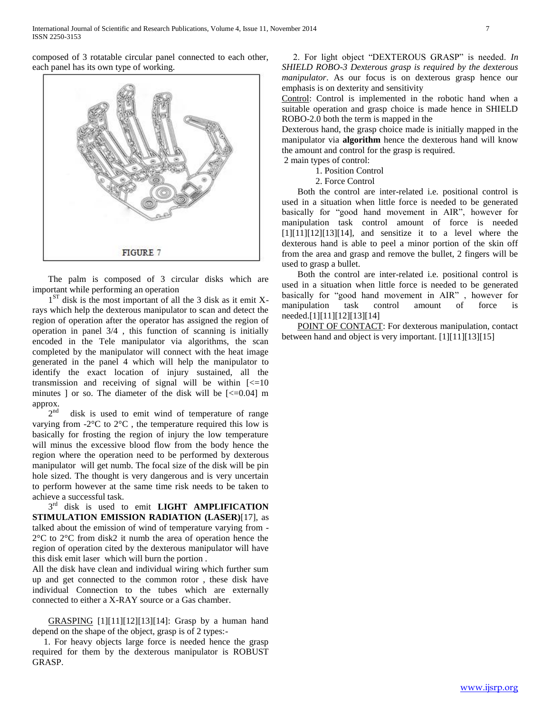composed of 3 rotatable circular panel connected to each other, each panel has its own type of working.



 The palm is composed of 3 circular disks which are important while performing an operation

1<sup>ST</sup> disk is the most important of all the 3 disk as it emit Xrays which help the dexterous manipulator to scan and detect the region of operation after the operator has assigned the region of operation in panel 3/4 , this function of scanning is initially encoded in the Tele manipulator via algorithms, the scan completed by the manipulator will connect with the heat image generated in the panel 4 which will help the manipulator to identify the exact location of injury sustained, all the transmission and receiving of signal will be within  $\leq 10$ minutes ] or so. The diameter of the disk will be  $\approx$  10.04] m approx.

 $2<sup>nd</sup>$ disk is used to emit wind of temperature of range varying from -2°C to 2°C , the temperature required this low is basically for frosting the region of injury the low temperature will minus the excessive blood flow from the body hence the region where the operation need to be performed by dexterous manipulator will get numb. The focal size of the disk will be pin hole sized. The thought is very dangerous and is very uncertain to perform however at the same time risk needs to be taken to achieve a successful task.

 $3^{rd}$  disk is used to emit **LIGHT AMPLIFICATION STIMULATION EMISSION RADIATION (LASER)**[17], as talked about the emission of wind of temperature varying from - 2°C to 2°C from disk2 it numb the area of operation hence the region of operation cited by the dexterous manipulator will have this disk emit laser which will burn the portion .

All the disk have clean and individual wiring which further sum up and get connected to the common rotor , these disk have individual Connection to the tubes which are externally connected to either a X-RAY source or a Gas chamber.

 GRASPING [1][11][12][13][14]: Grasp by a human hand depend on the shape of the object, grasp is of 2 types:-

 1. For heavy objects large force is needed hence the grasp required for them by the dexterous manipulator is ROBUST GRASP.

 2. For light object "DEXTEROUS GRASP" is needed. *In SHIELD ROBO-3 Dexterous grasp is required by the dexterous manipulator*. As our focus is on dexterous grasp hence our emphasis is on dexterity and sensitivity

Control: Control is implemented in the robotic hand when a suitable operation and grasp choice is made hence in SHIELD ROBO-2.0 both the term is mapped in the

Dexterous hand, the grasp choice made is initially mapped in the manipulator via **algorithm** hence the dexterous hand will know the amount and control for the grasp is required.

2 main types of control:

1. Position Control

2. Force Control

 Both the control are inter-related i.e. positional control is used in a situation when little force is needed to be generated basically for "good hand movement in AIR", however for manipulation task control amount of force is needed  $[1][11][12][13][14]$ , and sensitize it to a level where the dexterous hand is able to peel a minor portion of the skin off from the area and grasp and remove the bullet, 2 fingers will be used to grasp a bullet.

 Both the control are inter-related i.e. positional control is used in a situation when little force is needed to be generated basically for "good hand movement in AIR" , however for manipulation task control amount of force is needed.[1][11][12][13][14]

 POINT OF CONTACT: For dexterous manipulation, contact between hand and object is very important. [1][11][13][15]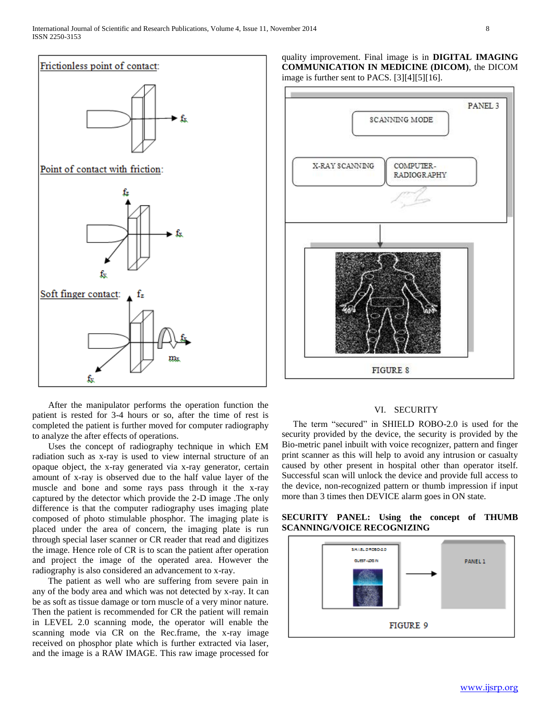

 After the manipulator performs the operation function the patient is rested for 3-4 hours or so, after the time of rest is completed the patient is further moved for computer radiography to analyze the after effects of operations.

 Uses the concept of radiography technique in which EM radiation such as x-ray is used to view internal structure of an opaque object, the x-ray generated via x-ray generator, certain amount of x-ray is observed due to the half value layer of the muscle and bone and some rays pass through it the x-ray captured by the detector which provide the 2-D image .The only difference is that the computer radiography uses imaging plate composed of photo stimulable phosphor. The imaging plate is placed under the area of concern, the imaging plate is run through special laser scanner or CR reader that read and digitizes the image. Hence role of CR is to scan the patient after operation and project the image of the operated area. However the radiography is also considered an advancement to x-ray.

 The patient as well who are suffering from severe pain in any of the body area and which was not detected by x-ray. It can be as soft as tissue damage or torn muscle of a very minor nature. Then the patient is recommended for CR the patient will remain in LEVEL 2.0 scanning mode, the operator will enable the scanning mode via CR on the Rec.frame, the x-ray image received on phosphor plate which is further extracted via laser, and the image is a RAW IMAGE. This raw image processed for quality improvement. Final image is in **DIGITAL IMAGING COMMUNICATION IN MEDICINE (DICOM)**, the DICOM image is further sent to PACS. [3][4][5][16].



## VI. SECURITY

 The term "secured" in SHIELD ROBO-2.0 is used for the security provided by the device, the security is provided by the Bio-metric panel inbuilt with voice recognizer, pattern and finger print scanner as this will help to avoid any intrusion or casualty caused by other present in hospital other than operator itself. Successful scan will unlock the device and provide full access to the device, non-recognized pattern or thumb impression if input more than 3 times then DEVICE alarm goes in ON state.

# SHILEL DROSO-2.0 **PANEL 1** FIGURE 9

## **SECURITY PANEL: Using the concept of THUMB SCANNING/VOICE RECOGNIZING**